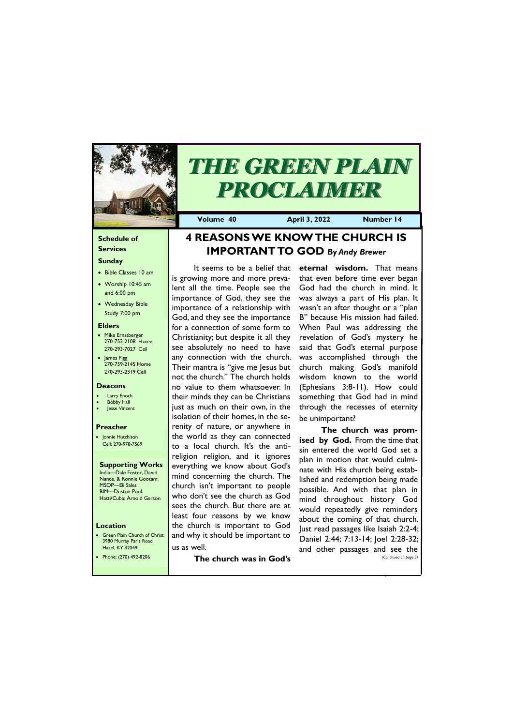### **Schedule of Services**

### **Sunday**

- Bible Classes 10 am
- Worship 10:45 am and 6:00 pm
- Wednesday Bible Study 7:00 pm

• Green Plain Church of Christ 3980 Murray Paris Road  $\sigma$ azel, KY 42

### **Elders**

- Mike Ernstberger 270-753-2108 Home 270-293-7027 Cell
- James Pigg 270-759-2145 Home 270-293-2319 Cell

### **Location**



# *THE GREEN PLAIN PROCLAIMER*

**Volume 40 April 3, 2022 Number 14**

### **Deacons**

- **Larry Enoch**
- **Bobby Hall**
- Jesse Vincent

### **Preacher**

• Jonnie Hutchison Cell: 270-978-7569

#### **Supporting Works** India—Dale Foster, David

Nance. & Ronnie Gootam; MSOP—Eli Sales BIM—Duston Pool. Hatti/Cuba: Arnold Gerson

# **4 REASONS WE KNOW THE CHURCH IS IMPORTANT TO GOD** *By Andy Brewer*

It seems to be a belief that is growing more and more prevalent all the time. People see the importance of God, they see the importance of a relationship with God, and they see the importance for a connection of some form to Christianity; but despite it all they see absolutely no need to have any connection with the church. Their mantra is "give me Jesus but not the church." The church holds no value to them whatsoever. In their minds they can be Christians just as much on their own, in the isolation of their homes, in the serenity of nature, or anywhere in the world as they can connected to a local church. It's the antireligion religion, and it ignores everything we know about God's mind concerning the church. The church isn't important to people who don't see the church as God sees the church. But there are at least four reasons by we know the church is important to God and why it should be important to us as well.

| <b>Hazel, KY 42049</b> | ' us as well.           |  | and other passages and see the |  |                       |
|------------------------|-------------------------|--|--------------------------------|--|-----------------------|
| Phone: (270) 492-8206  | The church was in God's |  |                                |  | (Continued on page 3) |

**eternal wisdom.** That means that even before time ever began God had the church in mind. It was always a part of His plan. It wasn't an after thought or a "plan B" because His mission had failed. When Paul was addressing the revelation of God's mystery he said that God's eternal purpose was accomplished through the church making God's manifold wisdom known to the world (Ephesians 3:8-11). How could something that God had in mind through the recesses of eternity be unimportant?

**The church was promised by God.** From the time that sin entered the world God set a plan in motion that would culminate with His church being established and redemption being made possible. And with that plan in mind throughout history God would repeatedly give reminders about the coming of that church. Just read passages like Isaiah 2:2-4; Daniel 2:44; 7:13-14; Joel 2:28-32;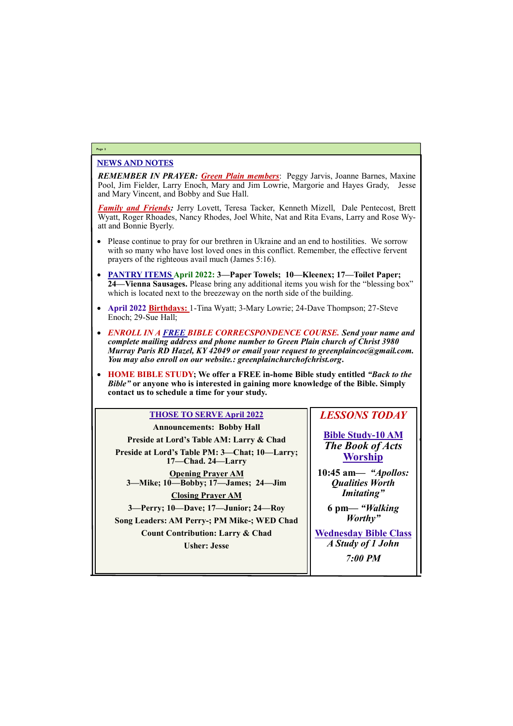### NEWS AND NOTES

*REMEMBER IN PRAYER: Green Plain members*: Peggy Jarvis, Joanne Barnes, Maxine Pool, Jim Fielder, Larry Enoch, Mary and Jim Lowrie, Margorie and Hayes Grady, Jesse and Mary Vincent, and Bobby and Sue Hall.

*Family and Friends:* Jerry Lovett, Teresa Tacker, Kenneth Mizell, Dale Pentecost, Brett Wyatt, Roger Rhoades, Nancy Rhodes, Joel White, Nat and Rita Evans, Larry and Rose Wyatt and Bonnie Byerly.

- Please continue to pray for our brethren in Ukraine and an end to hostilities. We sorrow with so many who have lost loved ones in this conflict. Remember, the effective fervent prayers of the righteous avail much (James 5:16).
- **PANTRY ITEMS April 2022: 3—Paper Towels; 10—Kleenex; 17—Toilet Paper; 24—Vienna Sausages.** Please bring any additional items you wish for the "blessing box" which is located next to the breezeway on the north side of the building.
- **April 2022 Birthdays:** 1-Tina Wyatt; 3-Mary Lowrie; 24-Dave Thompson; 27-Steve Enoch; 29-Sue Hall;
- *ENROLL IN A FREE BIBLE CORRECSPONDENCE COURSE. Send your name and complete mailing address and phone number to Green Plain church of Christ 3980 Murray Paris RD Hazel, KY 42049 or email your request to greenplaincoc@gmail.com. You may also enroll on our website.: greenplainchurchofchrist.org***.**
- **HOME BIBLE STUDY; We offer a FREE in-home Bible study entitled** *"Back to the Bible"* **or anyone who is interested in gaining more knowledge of the Bible. Simply contact us to schedule a time for your study.**

### **Page 2**

### **THOSE TO SERVE April 2022**

**Announcements: Bobby Hall Preside at Lord's Table AM: Larry & Chad Preside at Lord's Table PM: 3—Chat; 10—Larry; 17—Chad. 24—Larry Opening Prayer AM 3—Mike; 10—Bobby; 17—James; 24—Jim Closing Prayer AM 3—Perry; 10—Dave; 17—Junior; 24—Roy Song Leaders: AM Perry-; PM Mike-; WED Chad Count Contribution: Larry & Chad**

### *LESSONS TODAY*

**Bible Study-10 AM** *The Book of Acts* **Worship**

**10:45 am***— "Apollos: Qualities Worth Imitating"*

| <b>Usher: Jesse</b> | A Study of 1 John |
|---------------------|-------------------|
|                     | <b>7:00 PM</b>    |
|                     |                   |

**6 pm—** *"Walking Worthy"*

**Wednesday Bible Class** *A Study of 1 John*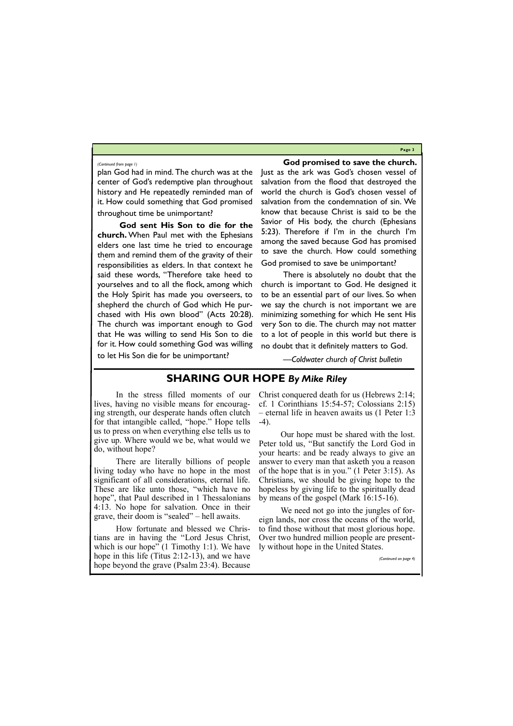**Page 3**

plan God had in mind. The church was at the center of God's redemptive plan throughout history and He repeatedly reminded man of it. How could something that God promised throughout time be unimportant?

**God sent His Son to die for the church.** When Paul met with the Ephesians elders one last time he tried to encourage them and remind them of the gravity of their responsibilities as elders. In that context he said these words, "Therefore take heed to yourselves and to all the flock, among which the Holy Spirit has made you overseers, to shepherd the church of God which He purchased with His own blood" (Acts 20:28). The church was important enough to God that He was willing to send His Son to die for it. How could something God was willing to let His Son die for be unimportant?

**God promised to save the church.** 

Just as the ark was God's chosen vessel of salvation from the flood that destroyed the world the church is God's chosen vessel of salvation from the condemnation of sin. We know that because Christ is said to be the Savior of His body, the church (Ephesians 5:23). Therefore if I'm in the church I'm among the saved because God has promised to save the church. How could something God promised to save be unimportant?

How fortunate and blessed we Christians are in having the "Lord Jesus Christ, which is our hope" (1 Timothy 1:1). We have

There is absolutely no doubt that the church is important to God. He designed it to be an essential part of our lives. So when we say the church is not important we are minimizing something for which He sent His very Son to die. The church may not matter to a lot of people in this world but there is no doubt that it definitely matters to God.

*—Coldwater church of Christ bulletin*

### *(Continued from page 1)*

# **SHARING OUR HOPE** *By Mike Riley*

In the stress filled moments of our lives, having no visible means for encouraging strength, our desperate hands often clutch for that intangible called, "hope." Hope tells us to press on when everything else tells us to give up. Where would we be, what would we do, without hope?

There are literally billions of people living today who have no hope in the most significant of all considerations, eternal life. These are like unto those, "which have no hope", that Paul described in 1 Thessalonians 4:13. No hope for salvation. Once in their grave, their doom is "sealed" – hell awaits.

Christ conquered death for us (Hebrews 2:14; cf. 1 Corinthians 15:54-57; Colossians 2:15) – eternal life in heaven awaits us (1 Peter 1:3 -4).

| $\frac{1}{2}$ which is our hope $\frac{1}{2}$ functify fix $\frac{1}{2}$ . We have $\frac{1}{2}$ while we hope in the United Blatest |                       |
|--------------------------------------------------------------------------------------------------------------------------------------|-----------------------|
| hope in this life (Titus $2:12-13$ ), and we have                                                                                    | (Continued on page 4) |
| hope beyond the grave (Psalm 23:4). Because                                                                                          |                       |

Our hope must be shared with the lost. Peter told us, "But sanctify the Lord God in your hearts: and be ready always to give an answer to every man that asketh you a reason of the hope that is in you." (1 Peter 3:15). As Christians, we should be giving hope to the hopeless by giving life to the spiritually dead by means of the gospel (Mark 16:15-16).

We need not go into the jungles of foreign lands, nor cross the oceans of the world, to find those without that most glorious hope. Over two hundred million people are presently without hope in the United States.